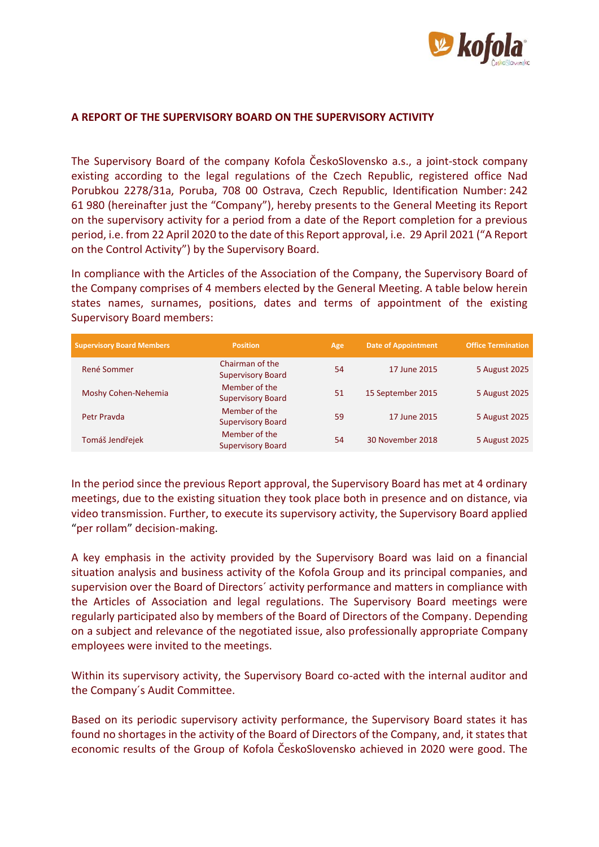

## **A REPORT OF THE SUPERVISORY BOARD ON THE SUPERVISORY ACTIVITY**

The Supervisory Board of the company Kofola ČeskoSlovensko a.s., a joint-stock company existing according to the legal regulations of the Czech Republic, registered office Nad Porubkou 2278/31a, Poruba, 708 00 Ostrava, Czech Republic, Identification Number: 242 61 980 (hereinafter just the "Company"), hereby presents to the General Meeting its Report on the supervisory activity for a period from a date of the Report completion for a previous period, i.e. from 22 April 2020 to the date of this Report approval, i.e. 29 April 2021 ("A Report on the Control Activity") by the Supervisory Board.

In compliance with the Articles of the Association of the Company, the Supervisory Board of the Company comprises of 4 members elected by the General Meeting. A table below herein states names, surnames, positions, dates and terms of appointment of the existing Supervisory Board members:

| <b>Supervisory Board Members</b> | <b>Position</b>                             | Age | <b>Date of Appointment</b> | <b>Office Termination</b> |
|----------------------------------|---------------------------------------------|-----|----------------------------|---------------------------|
| René Sommer                      | Chairman of the<br><b>Supervisory Board</b> | 54  | 17 June 2015               | 5 August 2025             |
| Moshy Cohen-Nehemia              | Member of the<br><b>Supervisory Board</b>   | 51  | 15 September 2015          | 5 August 2025             |
| Petr Prayda                      | Member of the<br><b>Supervisory Board</b>   | 59  | 17 June 2015               | 5 August 2025             |
| Tomáš Jendřejek                  | Member of the<br><b>Supervisory Board</b>   | 54  | 30 November 2018           | 5 August 2025             |

In the period since the previous Report approval, the Supervisory Board has met at 4 ordinary meetings, due to the existing situation they took place both in presence and on distance, via video transmission. Further, to execute its supervisory activity, the Supervisory Board applied "per rollam" decision-making.

A key emphasis in the activity provided by the Supervisory Board was laid on a financial situation analysis and business activity of the Kofola Group and its principal companies, and supervision over the Board of Directors´ activity performance and matters in compliance with the Articles of Association and legal regulations. The Supervisory Board meetings were regularly participated also by members of the Board of Directors of the Company. Depending on a subject and relevance of the negotiated issue, also professionally appropriate Company employees were invited to the meetings.

Within its supervisory activity, the Supervisory Board co-acted with the internal auditor and the Company´s Audit Committee.

Based on its periodic supervisory activity performance, the Supervisory Board states it has found no shortages in the activity of the Board of Directors of the Company, and, it states that economic results of the Group of Kofola ČeskoSlovensko achieved in 2020 were good. The